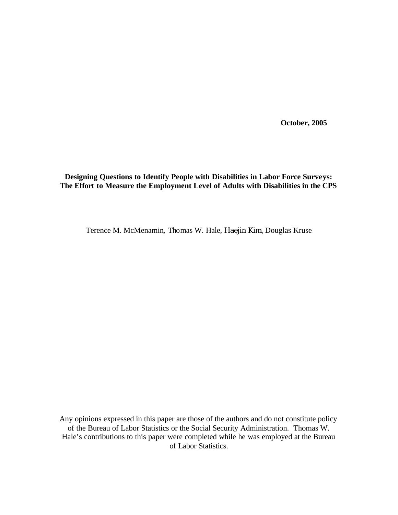**October, 2005**

# **Designing Questions to Identify People with Disabilities in Labor Force Surveys: The Effort to Measure the Employment Level of Adults with Disabilities in the CPS**

Terence M. McMenamin, Thomas W. Hale, Haejin Kim, Douglas Kruse

Any opinions expressed in this paper are those of the authors and do not constitute policy of the Bureau of Labor Statistics or the Social Security Administration. Thomas W. Hale's contributions to this paper were completed while he was employed at the Bureau of Labor Statistics.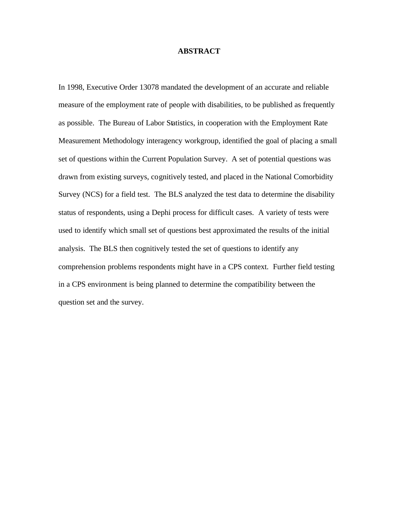# **ABSTRACT**

In 1998, Executive Order 13078 mandated the development of an accurate and reliable measure of the employment rate of people with disabilities, to be published as frequently as possible. The Bureau of Labor Statistics, in cooperation with the Employment Rate Measurement Methodology interagency workgroup, identified the goal of placing a small set of questions within the Current Population Survey. A set of potential questions was drawn from existing surveys, cognitively tested, and placed in the National Comorbidity Survey (NCS) for a field test. The BLS analyzed the test data to determine the disability status of respondents, using a Dephi process for difficult cases. A variety of tests were used to identify which small set of questions best approximated the results of the initial analysis. The BLS then cognitively tested the set of questions to identify any comprehension problems respondents might have in a CPS context. Further field testing in a CPS environment is being planned to determine the compatibility between the question set and the survey.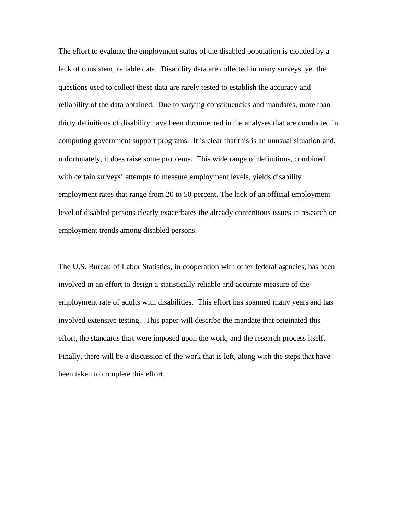The effort to evaluate the employment status of the disabled population is clouded by a lack of consistent, reliable data. Disability data are collected in many surveys, yet the questions used to collect these data are rarely tested to establish the accuracy and reliability of the data obtained. Due to varying constituencies and mandates, more than thirty definitions of disability have been documented in the analyses that are conducted in computing government support programs. It is clear that this is an unusual situation and, unfortunately, it does raise some problems. This wide range of definitions, combined with certain surveys' attempts to measure employment levels, yields disability employment rates that range from 20 to 50 percent. The lack of an official employment level of disabled persons clearly exacerbates the already contentious issues in research on employment trends among disabled persons.

The U.S. Bureau of Labor Statistics, in cooperation with other federal agencies, has been involved in an effort to design a statistically reliable and accurate measure of the employment rate of adults with disabilities. This effort has spanned many years and has involved extensive testing. This paper will describe the mandate that originated this effort, the standards tha t were imposed upon the work, and the research process itself. Finally, there will be a discussion of the work that is left, along with the steps that have been taken to complete this effort.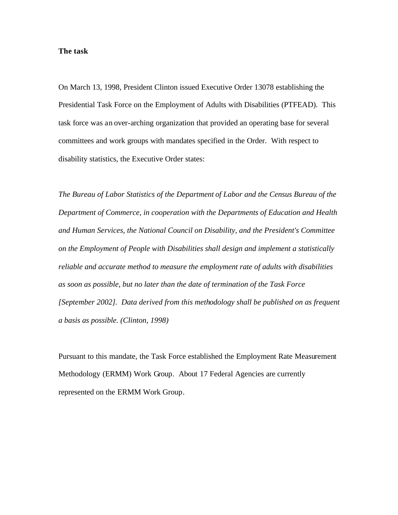#### **The task**

On March 13, 1998, President Clinton issued Executive Order 13078 establishing the Presidential Task Force on the Employment of Adults with Disabilities (PTFEAD). This task force was an over-arching organization that provided an operating base for several committees and work groups with mandates specified in the Order. With respect to disability statistics, the Executive Order states:

*The Bureau of Labor Statistics of the Department of Labor and the Census Bureau of the Department of Commerce, in cooperation with the Departments of Education and Health and Human Services, the National Council on Disability, and the President's Committee on the Employment of People with Disabilities shall design and implement a statistically reliable and accurate method to measure the employment rate of adults with disabilities as soon as possible, but no later than the date of termination of the Task Force [September 2002]. Data derived from this methodology shall be published on as frequent a basis as possible. (Clinton, 1998)*

Pursuant to this mandate, the Task Force established the Employment Rate Measurement Methodology (ERMM) Work Group. About 17 Federal Agencies are currently represented on the ERMM Work Group.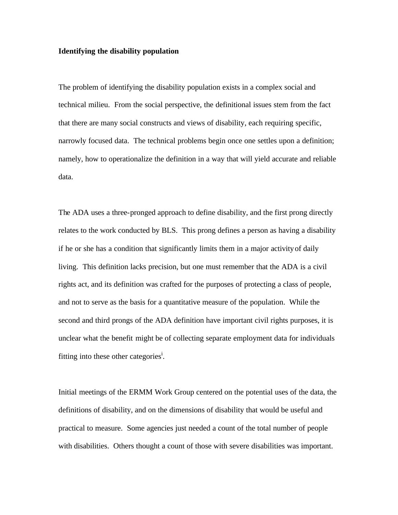### **Identifying the disability population**

The problem of identifying the disability population exists in a complex social and technical milieu. From the social perspective, the definitional issues stem from the fact that there are many social constructs and views of disability, each requiring specific, narrowly focused data. The technical problems begin once one settles upon a definition; namely, how to operationalize the definition in a way that will yield accurate and reliable data.

The ADA uses a three-pronged approach to define disability, and the first prong directly relates to the work conducted by BLS. This prong defines a person as having a disability if he or she has a condition that significantly limits them in a major activity of daily living. This definition lacks precision, but one must remember that the ADA is a civil rights act, and its definition was crafted for the purposes of protecting a class of people, and not to serve as the basis for a quantitative measure of the population. While the second and third prongs of the ADA definition have important civil rights purposes, it is unclear what the benefit might be of collecting separate employment data for individuals fitting into these other categories<sup>i</sup>.

Initial meetings of the ERMM Work Group centered on the potential uses of the data, the definitions of disability, and on the dimensions of disability that would be useful and practical to measure. Some agencies just needed a count of the total number of people with disabilities. Others thought a count of those with severe disabilities was important.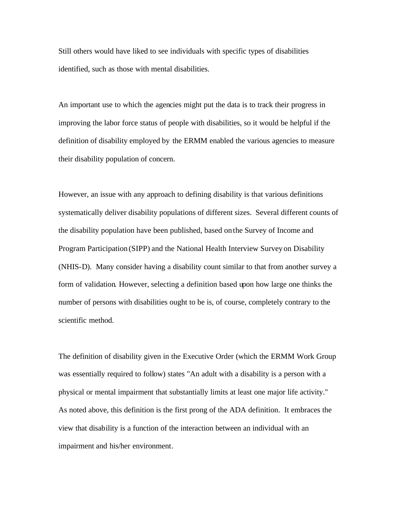Still others would have liked to see individuals with specific types of disabilities identified, such as those with mental disabilities.

An important use to which the agencies might put the data is to track their progress in improving the labor force status of people with disabilities, so it would be helpful if the definition of disability employed by the ERMM enabled the various agencies to measure their disability population of concern.

However, an issue with any approach to defining disability is that various definitions systematically deliver disability populations of different sizes. Several different counts of the disability population have been published, based on the Survey of Income and Program Participation (SIPP) and the National Health Interview Survey on Disability (NHIS-D). Many consider having a disability count similar to that from another survey a form of validation. However, selecting a definition based upon how large one thinks the number of persons with disabilities ought to be is, of course, completely contrary to the scientific method.

The definition of disability given in the Executive Order (which the ERMM Work Group was essentially required to follow) states "An adult with a disability is a person with a physical or mental impairment that substantially limits at least one major life activity." As noted above, this definition is the first prong of the ADA definition. It embraces the view that disability is a function of the interaction between an individual with an impairment and his/her environment.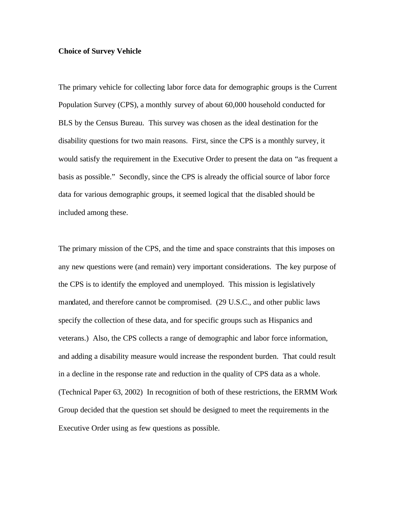## **Choice of Survey Vehicle**

The primary vehicle for collecting labor force data for demographic groups is the Current Population Survey (CPS), a monthly survey of about 60,000 household conducted for BLS by the Census Bureau. This survey was chosen as the ideal destination for the disability questions for two main reasons. First, since the CPS is a monthly survey, it would satisfy the requirement in the Executive Order to present the data on "as frequent a basis as possible." Secondly, since the CPS is already the official source of labor force data for various demographic groups, it seemed logical that the disabled should be included among these.

The primary mission of the CPS, and the time and space constraints that this imposes on any new questions were (and remain) very important considerations. The key purpose of the CPS is to identify the employed and unemployed. This mission is legislatively mandated, and therefore cannot be compromised. (29 U.S.C., and other public laws specify the collection of these data, and for specific groups such as Hispanics and veterans.) Also, the CPS collects a range of demographic and labor force information, and adding a disability measure would increase the respondent burden. That could result in a decline in the response rate and reduction in the quality of CPS data as a whole. (Technical Paper 63, 2002) In recognition of both of these restrictions, the ERMM Work Group decided that the question set should be designed to meet the requirements in the Executive Order using as few questions as possible.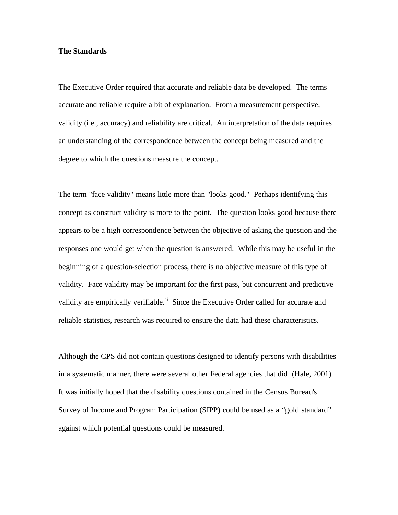#### **The Standards**

The Executive Order required that accurate and reliable data be developed. The terms accurate and reliable require a bit of explanation. From a measurement perspective, validity (i.e., accuracy) and reliability are critical. An interpretation of the data requires an understanding of the correspondence between the concept being measured and the degree to which the questions measure the concept.

The term "face validity" means little more than "looks good." Perhaps identifying this concept as construct validity is more to the point. The question looks good because there appears to be a high correspondence between the objective of asking the question and the responses one would get when the question is answered. While this may be useful in the beginning of a question-selection process, there is no objective measure of this type of validity. Face validity may be important for the first pass, but concurrent and predictive validity are empirically verifiable.<sup>ii</sup> Since the Executive Order called for accurate and reliable statistics, research was required to ensure the data had these characteristics.

Although the CPS did not contain questions designed to identify persons with disabilities in a systematic manner, there were several other Federal agencies that did. (Hale, 2001) It was initially hoped that the disability questions contained in the Census Bureau's Survey of Income and Program Participation (SIPP) could be used as a "gold standard" against which potential questions could be measured.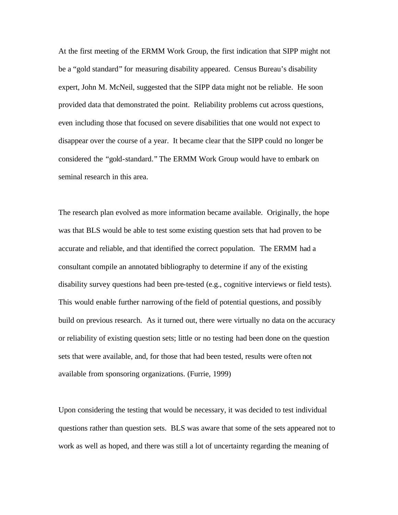At the first meeting of the ERMM Work Group, the first indication that SIPP might not be a "gold standard" for measuring disability appeared. Census Bureau's disability expert, John M. McNeil, suggested that the SIPP data might not be reliable. He soon provided data that demonstrated the point. Reliability problems cut across questions, even including those that focused on severe disabilities that one would not expect to disappear over the course of a year. It became clear that the SIPP could no longer be considered the "gold-standard." The ERMM Work Group would have to embark on seminal research in this area.

The research plan evolved as more information became available. Originally, the hope was that BLS would be able to test some existing question sets that had proven to be accurate and reliable, and that identified the correct population. The ERMM had a consultant compile an annotated bibliography to determine if any of the existing disability survey questions had been pre-tested (e.g., cognitive interviews or field tests). This would enable further narrowing of the field of potential questions, and possibly build on previous research. As it turned out, there were virtually no data on the accuracy or reliability of existing question sets; little or no testing had been done on the question sets that were available, and, for those that had been tested, results were often not available from sponsoring organizations. (Furrie, 1999)

Upon considering the testing that would be necessary, it was decided to test individual questions rather than question sets. BLS was aware that some of the sets appeared not to work as well as hoped, and there was still a lot of uncertainty regarding the meaning of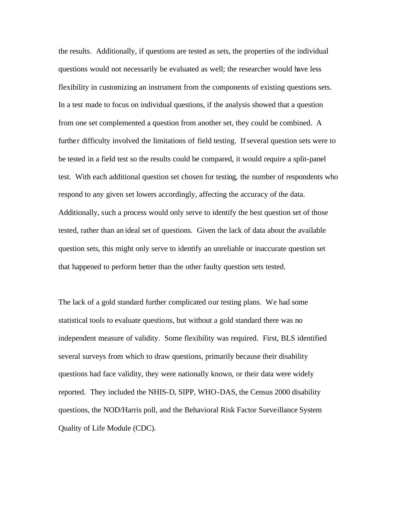the results. Additionally, if questions are tested as sets, the properties of the individual questions would not necessarily be evaluated as well; the researcher would have less flexibility in customizing an instrument from the components of existing questions sets. In a test made to focus on individual questions, if the analysis showed that a question from one set complemented a question from another set, they could be combined. A further difficulty involved the limitations of field testing. If several question sets were to be tested in a field test so the results could be compared, it would require a split-panel test. With each additional question set chosen for testing, the number of respondents who respond to any given set lowers accordingly, affecting the accuracy of the data. Additionally, such a process would only serve to identify the best question set of those tested, rather than an ideal set of questions. Given the lack of data about the available question sets, this might only serve to identify an unreliable or inaccurate question set that happened to perform better than the other faulty question sets tested.

The lack of a gold standard further complicated our testing plans. We had some statistical tools to evaluate questions, but without a gold standard there was no independent measure of validity. Some flexibility was required. First, BLS identified several surveys from which to draw questions, primarily because their disability questions had face validity, they were nationally known, or their data were widely reported. They included the NHIS-D, SIPP, WHO-DAS, the Census 2000 disability questions, the NOD/Harris poll, and the Behavioral Risk Factor Surveillance System Quality of Life Module (CDC).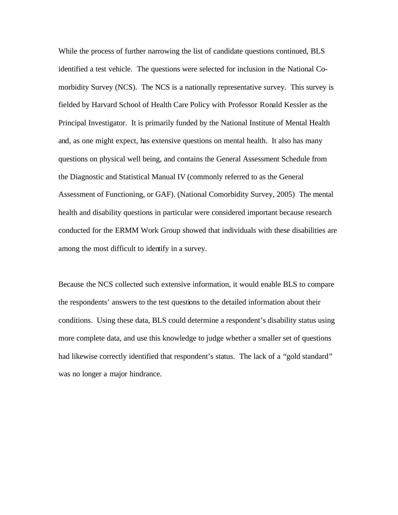While the process of further narrowing the list of candidate questions continued, BLS identified a test vehicle. The questions were selected for inclusion in the National Comorbidity Survey (NCS). The NCS is a nationally representative survey. This survey is fielded by Harvard School of Health Care Policy with Professor Ronald Kessler as the Principal Investigator. It is primarily funded by the National Institute of Mental Health and, as one might expect, has extensive questions on mental health. It also has many questions on physical well being, and contains the General Assessment Schedule from the Diagnostic and Statistical Manual IV (commonly referred to as the General Assessment of Functioning, or GAF). (National Comorbidity Survey, 2005) The mental health and disability questions in particular were considered important because research conducted for the ERMM Work Group showed that individuals with these disabilities are among the most difficult to identify in a survey.

Because the NCS collected such extensive information, it would enable BLS to compare the respondents' answers to the test questions to the detailed information about their conditions. Using these data, BLS could determine a respondent's disability status using more complete data, and use this knowledge to judge whether a smaller set of questions had likewise correctly identified that respondent's status. The lack of a "gold standard" was no longer a major hindrance.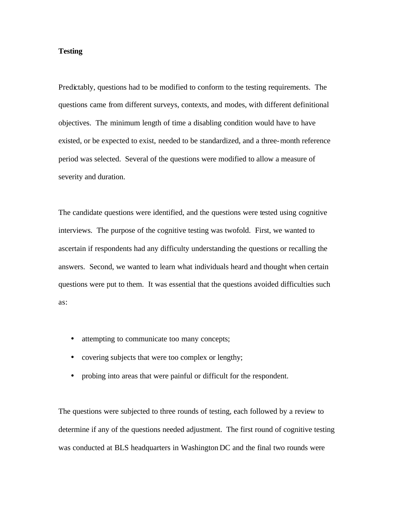# **Testing**

Predictably, questions had to be modified to conform to the testing requirements. The questions came from different surveys, contexts, and modes, with different definitional objectives. The minimum length of time a disabling condition would have to have existed, or be expected to exist, needed to be standardized, and a three-month reference period was selected. Several of the questions were modified to allow a measure of severity and duration.

The candidate questions were identified, and the questions were tested using cognitive interviews. The purpose of the cognitive testing was twofold. First, we wanted to ascertain if respondents had any difficulty understanding the questions or recalling the answers. Second, we wanted to learn what individuals heard and thought when certain questions were put to them. It was essential that the questions avoided difficulties such as:

- attempting to communicate too many concepts;
- covering subjects that were too complex or lengthy;
- probing into areas that were painful or difficult for the respondent.

The questions were subjected to three rounds of testing, each followed by a review to determine if any of the questions needed adjustment. The first round of cognitive testing was conducted at BLS headquarters in Washington DC and the final two rounds were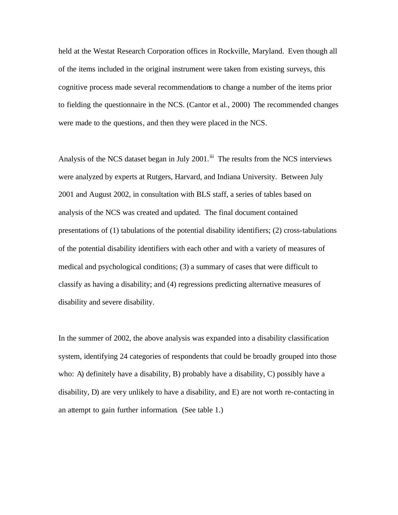held at the Westat Research Corporation offices in Rockville, Maryland. Even though all of the items included in the original instrument were taken from existing surveys, this cognitive process made several recommendations to change a number of the items prior to fielding the questionnaire in the NCS. (Cantor et al., 2000) The recommended changes were made to the questions, and then they were placed in the NCS.

Analysis of the NCS dataset began in July 2001.<sup>iii</sup> The results from the NCS interviews were analyzed by experts at Rutgers, Harvard, and Indiana University. Between July 2001 and August 2002, in consultation with BLS staff, a series of tables based on analysis of the NCS was created and updated. The final document contained presentations of (1) tabulations of the potential disability identifiers; (2) cross-tabulations of the potential disability identifiers with each other and with a variety of measures of medical and psychological conditions; (3) a summary of cases that were difficult to classify as having a disability; and (4) regressions predicting alternative measures of disability and severe disability.

In the summer of 2002, the above analysis was expanded into a disability classification system, identifying 24 categories of respondents that could be broadly grouped into those who: A) definitely have a disability, B) probably have a disability, C) possibly have a disability, D) are very unlikely to have a disability, and E) are not worth re-contacting in an attempt to gain further information. (See table 1.)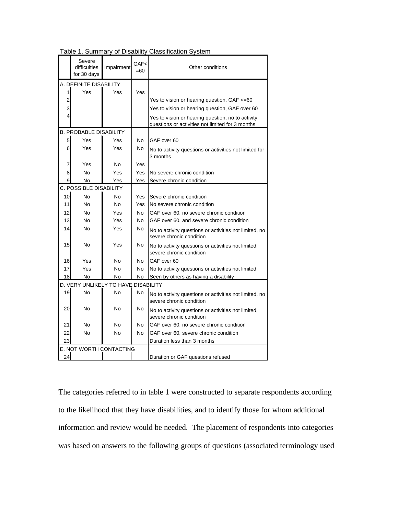|                                     | Severe<br>difficulties<br>for 30 days | Impairment | GAF<<br>$=60$  | Other conditions                                                                   |  |  |  |  |
|-------------------------------------|---------------------------------------|------------|----------------|------------------------------------------------------------------------------------|--|--|--|--|
|                                     | A. DEFINITE DISABILITY                |            |                |                                                                                    |  |  |  |  |
| 1                                   | Yes                                   | Yes        | Yes            |                                                                                    |  |  |  |  |
| 2                                   |                                       |            |                | Yes to vision or hearing question, GAF <= 60                                       |  |  |  |  |
| 3                                   |                                       |            |                | Yes to vision or hearing question, GAF over 60                                     |  |  |  |  |
| 4                                   |                                       |            |                | Yes to vision or hearing question, no to activity                                  |  |  |  |  |
|                                     |                                       |            |                | questions or activities not limited for 3 months                                   |  |  |  |  |
|                                     | <b>B. PROBABLE DISABILITY</b>         |            |                |                                                                                    |  |  |  |  |
| 5                                   | Yes                                   | Yes        | N <sub>o</sub> | GAF over 60                                                                        |  |  |  |  |
| 6                                   | Yes                                   | Yes        | No             | No to activity questions or activities not limited for<br>3 months                 |  |  |  |  |
| 7                                   | Yes                                   | No         | Yes            |                                                                                    |  |  |  |  |
| 8                                   | No                                    | Yes        | Yes            | No severe chronic condition                                                        |  |  |  |  |
| 9                                   | No                                    | Yes        | Yes            | Severe chronic condition                                                           |  |  |  |  |
| <b>C. POSSIBLE DISABILITY</b>       |                                       |            |                |                                                                                    |  |  |  |  |
| 10                                  | No                                    | No         | Yes            | Severe chronic condition                                                           |  |  |  |  |
| 11                                  | No                                    | No         | Yes            | No severe chronic condition                                                        |  |  |  |  |
| 12                                  | <b>No</b>                             | Yes        | N <sub>o</sub> | GAF over 60, no severe chronic condition                                           |  |  |  |  |
| 13                                  | No                                    | Yes        | No             | GAF over 60, and severe chronic condition                                          |  |  |  |  |
| 14                                  | No                                    | Yes        | No             | No to activity questions or activities not limited, no<br>severe chronic condition |  |  |  |  |
| 15                                  | No                                    | Yes        | No             | No to activity questions or activities not limited,<br>severe chronic condition    |  |  |  |  |
| 16                                  | Yes                                   | No         | No             | GAF over 60                                                                        |  |  |  |  |
| 17                                  | Yes                                   | No         | No             | No to activity questions or activities not limited                                 |  |  |  |  |
| 18                                  | No                                    | No         | No             | Seen by others as having a disability                                              |  |  |  |  |
| D. VERY UNLIKELY TO HAVE DISABILITY |                                       |            |                |                                                                                    |  |  |  |  |
| 19                                  | <b>No</b>                             | No.        | No             | No to activity questions or activities not limited, no<br>severe chronic condition |  |  |  |  |
| 20                                  | No                                    | No         | No             | No to activity questions or activities not limited,<br>severe chronic condition    |  |  |  |  |
| 21                                  | No                                    | No         | No             | GAF over 60, no severe chronic condition                                           |  |  |  |  |
| 22                                  | No                                    | No         | No             | GAF over 60, severe chronic condition                                              |  |  |  |  |
| 23                                  |                                       |            |                | Duration less than 3 months                                                        |  |  |  |  |
| E. NOT WORTH CONTACTING             |                                       |            |                |                                                                                    |  |  |  |  |
| 24                                  |                                       |            |                | Duration or GAF questions refused                                                  |  |  |  |  |

Table 1. Summary of Disability Classification System

The categories referred to in table 1 were constructed to separate respondents according to the likelihood that they have disabilities, and to identify those for whom additional information and review would be needed. The placement of respondents into categories was based on answers to the following groups of questions (associated terminology used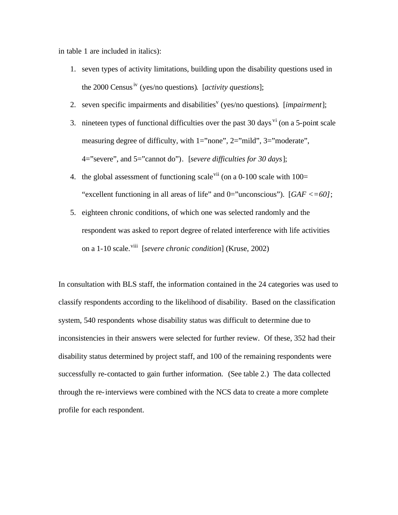in table 1 are included in italics):

- 1. seven types of activity limitations, building upon the disability questions used in the 2000 Census<sup>iv</sup> (yes/no questions). [*activity questions*]:
- 2. seven specific impairments and disabilities<sup>v</sup> (yes/no questions). [*impairment*];
- 3. nineteen types of functional difficulties over the past 30 days  $\overline{v}$  (on a 5-point scale measuring degree of difficulty, with 1="none", 2="mild", 3="moderate", 4="severe", and 5="cannot do"). [*severe difficulties for 30 days*];
- 4. the global assessment of functioning scale  $\frac{v}{u}$  (on a 0-100 scale with 100= "excellent functioning in all areas of life" and 0="unconscious"). [*GAF <=60]*;
- 5. eighteen chronic conditions, of which one was selected randomly and the respondent was asked to report degree of related interference with life activities on a 1-10 scale.viii [*severe chronic condition*] (Kruse, 2002)

In consultation with BLS staff, the information contained in the 24 categories was used to classify respondents according to the likelihood of disability. Based on the classification system, 540 respondents whose disability status was difficult to determine due to inconsistencies in their answers were selected for further review. Of these, 352 had their disability status determined by project staff, and 100 of the remaining respondents were successfully re-contacted to gain further information. (See table 2.) The data collected through the re-interviews were combined with the NCS data to create a more complete profile for each respondent.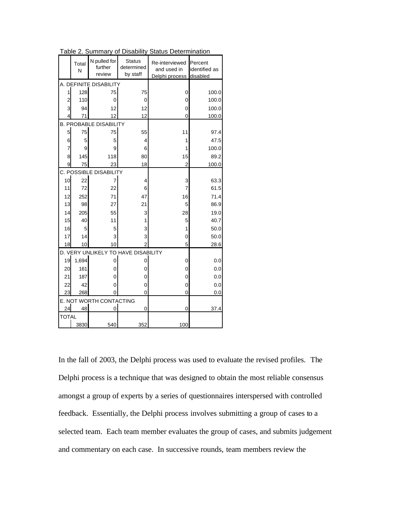|                                     | Total<br>N | N pulled for<br>further | <b>Status</b><br>determined | Re-interviewed<br>and used in | Percent<br>identified as |  |  |  |  |
|-------------------------------------|------------|-------------------------|-----------------------------|-------------------------------|--------------------------|--|--|--|--|
|                                     |            | review                  | by staff                    | Delphi process                | disabled                 |  |  |  |  |
|                                     |            | A. DEFINITE DISABILITY  |                             |                               |                          |  |  |  |  |
| 1                                   | 128        | 75                      | 75                          | 0                             | 100.0                    |  |  |  |  |
| 2                                   | 110        | 0                       | 0                           | 0                             | 100.0                    |  |  |  |  |
| 3                                   | 94         | 12                      | 12                          | 0                             | 100.0                    |  |  |  |  |
| 4                                   | 71         | 12                      | 12                          | 0                             | 100.0                    |  |  |  |  |
| <b>B. PROBABLE DISABILITY</b>       |            |                         |                             |                               |                          |  |  |  |  |
| 5                                   | 75         | 75                      | 55                          | 11                            | 97.4                     |  |  |  |  |
| 6                                   | 5          | 5                       | 4                           | 1                             | 47.5                     |  |  |  |  |
| $\overline{7}$                      | 9          | 9                       | 6                           | 1                             | 100.0                    |  |  |  |  |
| 8                                   | 145        | 118                     | 80                          | 15                            | 89.2                     |  |  |  |  |
| 9                                   | 75         | 23                      | 18                          | $\overline{2}$                | 100.0                    |  |  |  |  |
| C. POSSIBLE DISABILITY              |            |                         |                             |                               |                          |  |  |  |  |
| 10                                  | 22         | 7                       | 4                           | 3                             | 63.3                     |  |  |  |  |
| 11                                  | 72         | 22                      | 6                           | $\overline{7}$                | 61.5                     |  |  |  |  |
| 12                                  | 252        | 71                      | 47                          | 16                            | 71.4                     |  |  |  |  |
| 13                                  | 98         | 27                      | 21                          | 5                             | 86.9                     |  |  |  |  |
| 14                                  | 205        | 55                      | 3                           | 28                            | 19.0                     |  |  |  |  |
| 15                                  | 40         | 11                      | 1                           | 5                             | 40.7                     |  |  |  |  |
| 16                                  | 5          | 5                       | 3                           | 1                             | 50.0                     |  |  |  |  |
| 17                                  | 14         | 3                       | 3                           | 0                             | 50.0                     |  |  |  |  |
| 18                                  | 10         | 10                      | 2                           | 5                             | 28.6                     |  |  |  |  |
| D. VERY UNLIKELY TO HAVE DISABILITY |            |                         |                             |                               |                          |  |  |  |  |
| 19                                  | 1,694      | 0                       | 0                           | 0                             | 0.0                      |  |  |  |  |
| 20                                  | 161        | 0                       | 0                           | 0                             | 0.0                      |  |  |  |  |
| 21                                  | 187        | 0                       | 0                           | 0                             | 0.0                      |  |  |  |  |
| 22                                  | 42         | 0                       | 0                           | 0                             | 0.0                      |  |  |  |  |
| 23                                  | 268        | 0                       | 0                           | 0                             | 0.0                      |  |  |  |  |
|                                     |            | E. NOT WORTH CONTACTING |                             |                               |                          |  |  |  |  |
| 24                                  | 48         | 0                       | 0                           | 0                             | 37.4                     |  |  |  |  |
| <b>TOTAL</b>                        |            |                         |                             |                               |                          |  |  |  |  |
|                                     | 3830       | 540                     | 352                         | 100                           |                          |  |  |  |  |

Table 2. Summary of Disability Status Determination

In the fall of 2003, the Delphi process was used to evaluate the revised profiles. The Delphi process is a technique that was designed to obtain the most reliable consensus amongst a group of experts by a series of questionnaires interspersed with controlled feedback. Essentially, the Delphi process involves submitting a group of cases to a selected team. Each team member evaluates the group of cases, and submits judgement and commentary on each case. In successive rounds, team members review the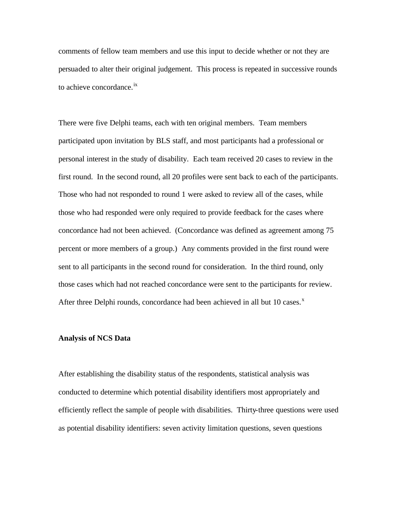comments of fellow team members and use this input to decide whether or not they are persuaded to alter their original judgement. This process is repeated in successive rounds to achieve concordance.<sup>ix</sup>

There were five Delphi teams, each with ten original members. Team members participated upon invitation by BLS staff, and most participants had a professional or personal interest in the study of disability. Each team received 20 cases to review in the first round. In the second round, all 20 profiles were sent back to each of the participants. Those who had not responded to round 1 were asked to review all of the cases, while those who had responded were only required to provide feedback for the cases where concordance had not been achieved. (Concordance was defined as agreement among 75 percent or more members of a group.) Any comments provided in the first round were sent to all participants in the second round for consideration. In the third round, only those cases which had not reached concordance were sent to the participants for review. After three Delphi rounds, concordance had been achieved in all but 10 cases. $^x$ 

#### **Analysis of NCS Data**

After establishing the disability status of the respondents, statistical analysis was conducted to determine which potential disability identifiers most appropriately and efficiently reflect the sample of people with disabilities. Thirty-three questions were used as potential disability identifiers: seven activity limitation questions, seven questions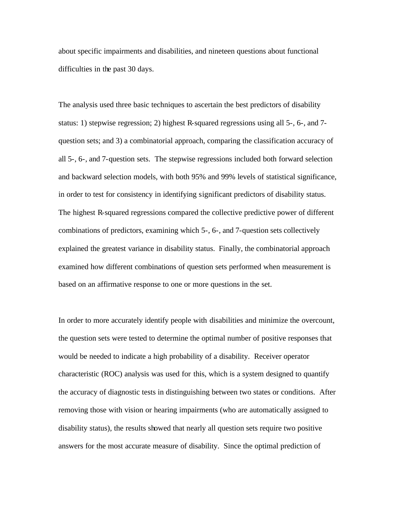about specific impairments and disabilities, and nineteen questions about functional difficulties in the past 30 days.

The analysis used three basic techniques to ascertain the best predictors of disability status: 1) stepwise regression; 2) highest R-squared regressions using all 5-, 6-, and 7 question sets; and 3) a combinatorial approach, comparing the classification accuracy of all 5-, 6-, and 7-question sets. The stepwise regressions included both forward selection and backward selection models, with both 95% and 99% levels of statistical significance, in order to test for consistency in identifying significant predictors of disability status. The highest R-squared regressions compared the collective predictive power of different combinations of predictors, examining which 5-, 6-, and 7-question sets collectively explained the greatest variance in disability status. Finally, the combinatorial approach examined how different combinations of question sets performed when measurement is based on an affirmative response to one or more questions in the set.

In order to more accurately identify people with disabilities and minimize the overcount, the question sets were tested to determine the optimal number of positive responses that would be needed to indicate a high probability of a disability. Receiver operator characteristic (ROC) analysis was used for this, which is a system designed to quantify the accuracy of diagnostic tests in distinguishing between two states or conditions. After removing those with vision or hearing impairments (who are automatically assigned to disability status), the results showed that nearly all question sets require two positive answers for the most accurate measure of disability. Since the optimal prediction of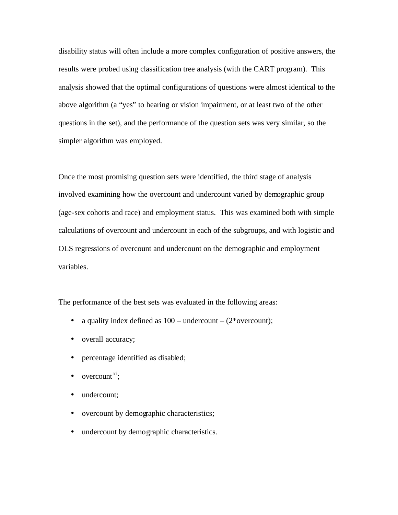disability status will often include a more complex configuration of positive answers, the results were probed using classification tree analysis (with the CART program). This analysis showed that the optimal configurations of questions were almost identical to the above algorithm (a "yes" to hearing or vision impairment, or at least two of the other questions in the set), and the performance of the question sets was very similar, so the simpler algorithm was employed.

Once the most promising question sets were identified, the third stage of analysis involved examining how the overcount and undercount varied by demographic group (age-sex cohorts and race) and employment status. This was examined both with simple calculations of overcount and undercount in each of the subgroups, and with logistic and OLS regressions of overcount and undercount on the demographic and employment variables.

The performance of the best sets was evaluated in the following areas:

- a quality index defined as  $100$  undercount  $(2^*$  overcount);
- overall accuracy;
- percentage identified as disabled;
- $\bullet$  overcount<sup>xi</sup>;
- undercount:
- overcount by demographic characteristics;
- undercount by demographic characteristics.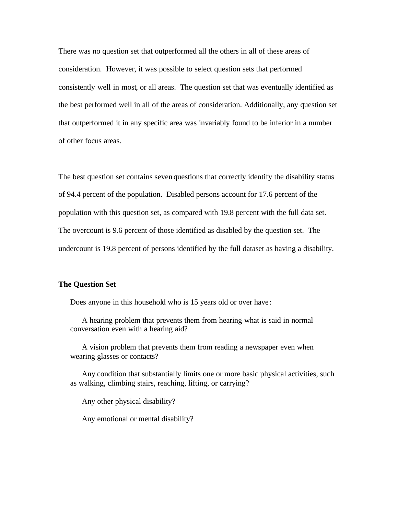There was no question set that outperformed all the others in all of these areas of consideration. However, it was possible to select question sets that performed consistently well in most, or all areas. The question set that was eventually identified as the best performed well in all of the areas of consideration. Additionally, any question set that outperformed it in any specific area was invariably found to be inferior in a number of other focus areas.

The best question set contains seven questions that correctly identify the disability status of 94.4 percent of the population. Disabled persons account for 17.6 percent of the population with this question set, as compared with 19.8 percent with the full data set. The overcount is 9.6 percent of those identified as disabled by the question set. The undercount is 19.8 percent of persons identified by the full dataset as having a disability.

## **The Question Set**

Does anyone in this household who is 15 years old or over have :

A hearing problem that prevents them from hearing what is said in normal conversation even with a hearing aid?

A vision problem that prevents them from reading a newspaper even when wearing glasses or contacts?

Any condition that substantially limits one or more basic physical activities, such as walking, climbing stairs, reaching, lifting, or carrying?

Any other physical disability?

Any emotional or mental disability?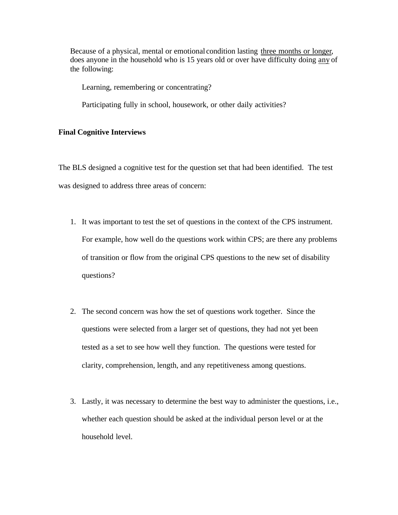Because of a physical, mental or emotional condition lasting three months or longer, does anyone in the household who is 15 years old or over have difficulty doing any of the following:

Learning, remembering or concentrating?

Participating fully in school, housework, or other daily activities?

#### **Final Cognitive Interviews**

The BLS designed a cognitive test for the question set that had been identified. The test was designed to address three areas of concern:

- 1. It was important to test the set of questions in the context of the CPS instrument. For example, how well do the questions work within CPS; are there any problems of transition or flow from the original CPS questions to the new set of disability questions?
- 2. The second concern was how the set of questions work together. Since the questions were selected from a larger set of questions, they had not yet been tested as a set to see how well they function. The questions were tested for clarity, comprehension, length, and any repetitiveness among questions.
- 3. Lastly, it was necessary to determine the best way to administer the questions, i.e., whether each question should be asked at the individual person level or at the household level.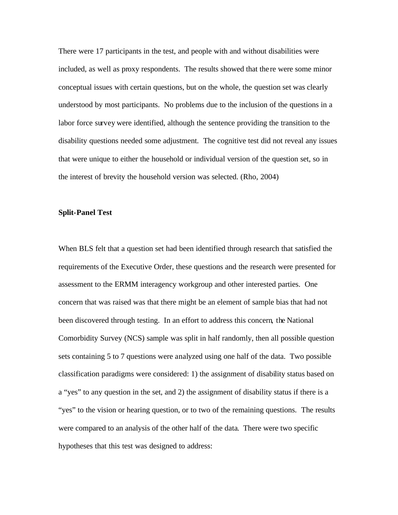There were 17 participants in the test, and people with and without disabilities were included, as well as proxy respondents. The results showed that the re were some minor conceptual issues with certain questions, but on the whole, the question set was clearly understood by most participants. No problems due to the inclusion of the questions in a labor force survey were identified, although the sentence providing the transition to the disability questions needed some adjustment. The cognitive test did not reveal any issues that were unique to either the household or individual version of the question set, so in the interest of brevity the household version was selected. (Rho, 2004)

#### **Split-Panel Test**

When BLS felt that a question set had been identified through research that satisfied the requirements of the Executive Order, these questions and the research were presented for assessment to the ERMM interagency workgroup and other interested parties. One concern that was raised was that there might be an element of sample bias that had not been discovered through testing. In an effort to address this concern, the National Comorbidity Survey (NCS) sample was split in half randomly, then all possible question sets containing 5 to 7 questions were analyzed using one half of the data. Two possible classification paradigms were considered: 1) the assignment of disability status based on a "yes" to any question in the set, and 2) the assignment of disability status if there is a "yes" to the vision or hearing question, or to two of the remaining questions. The results were compared to an analysis of the other half of the data. There were two specific hypotheses that this test was designed to address: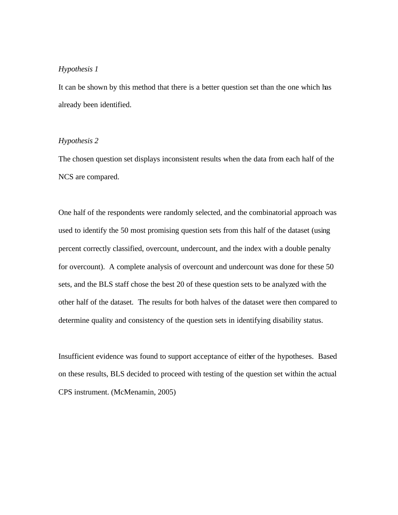# *Hypothesis 1*

It can be shown by this method that there is a better question set than the one which has already been identified.

## *Hypothesis 2*

The chosen question set displays inconsistent results when the data from each half of the NCS are compared.

One half of the respondents were randomly selected, and the combinatorial approach was used to identify the 50 most promising question sets from this half of the dataset (using percent correctly classified, overcount, undercount, and the index with a double penalty for overcount). A complete analysis of overcount and undercount was done for these 50 sets, and the BLS staff chose the best 20 of these question sets to be analyzed with the other half of the dataset. The results for both halves of the dataset were then compared to determine quality and consistency of the question sets in identifying disability status.

Insufficient evidence was found to support acceptance of either of the hypotheses. Based on these results, BLS decided to proceed with testing of the question set within the actual CPS instrument. (McMenamin, 2005)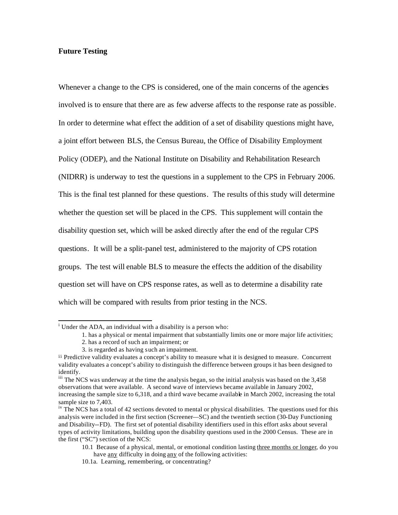## **Future Testing**

Whenever a change to the CPS is considered, one of the main concerns of the agencies involved is to ensure that there are as few adverse affects to the response rate as possible. In order to determine what effect the addition of a set of disability questions might have, a joint effort between BLS, the Census Bureau, the Office of Disability Employment Policy (ODEP), and the National Institute on Disability and Rehabilitation Research (NIDRR) is underway to test the questions in a supplement to the CPS in February 2006. This is the final test planned for these questions. The results of this study will determine whether the question set will be placed in the CPS. This supplement will contain the disability question set, which will be asked directly after the end of the regular CPS questions. It will be a split-panel test, administered to the majority of CPS rotation groups. The test will enable BLS to measure the effects the addition of the disability question set will have on CPS response rates, as well as to determine a disability rate which will be compared with results from prior testing in the NCS.

 i Under the ADA, an individual with a disability is a person who:

<sup>1.</sup> has a physical or mental impairment that substantially limits one or more major life activities;

<sup>2.</sup> has a record of such an impairment; or

<sup>3.</sup> is regarded as having such an impairment.

<sup>&</sup>lt;sup>ii</sup> Predictive validity evaluates a concept's ability to measure what it is designed to measure. Concurrent validity evaluates a concept's ability to distinguish the difference between groups it has been designed to identify.

iii The NCS was underway at the time the analysis began, so the initial analysis was based on the 3,458 observations that were available. A second wave of interviews became available in January 2002, increasing the sample size to 6,318, and a third wave became available in March 2002, increasing the total sample size to 7,403.

<sup>&</sup>lt;sup>iv</sup> The NCS has a total of 42 sections devoted to mental or physical disabilities. The questions used for this analysis were included in the first section (Screener—SC) and the twentieth section (30-Day Functioning and Disability--FD). The first set of potential disability identifiers used in this effort asks about several types of activity limitations, building upon the disability questions used in the 2000 Census. These are in the first ("SC") section of the NCS:

<sup>10.1</sup> Because of a physical, mental, or emotional condition lasting three months or longer, do you have <u>any</u> difficulty in doing any of the following activities:

<sup>10.1</sup>a. Learning, remembering, or concentrating?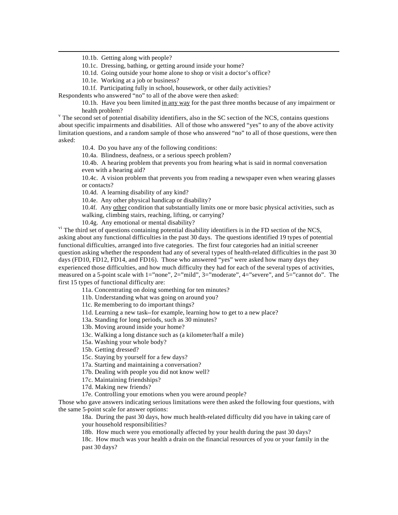10.1b. Getting along with people?

l

10.1c. Dressing, bathing, or getting around inside your home?

10.1d. Going outside your home alone to shop or visit a doctor's office?

10.1e. Working at a job or business?

10.1f. Participating fully in school, housework, or other daily activities?

Respondents who answered "no" to all of the above were then asked:

10.1h. Have you been limited in any way for the past three months because of any impairment or health problem?

<sup>v</sup> The second set of potential disability identifiers, also in the SC section of the NCS, contains questions about specific impairments and disabilities. All of those who answered "yes" to any of the above activity limitation questions, and a random sample of those who answered "no" to all of those questions, were then asked:

10.4. Do you have any of the following conditions:

10.4a. Blindness, deafness, or a serious speech problem?

10.4b. A hearing problem that prevents you from hearing what is said in normal conversation even with a hearing aid?

10.4c. A vision problem that prevents you from reading a newspaper even when wearing glasses or contacts?

10.4d. A learning disability of any kind?

10.4e. Any other physical handicap or disability?

10.4f. Any other condition that substantially limits one or more basic physical activities, such as walking, climbing stairs, reaching, lifting, or carrying?

10.4g. Any emotional or mental disability?

<sup>vi</sup> The third set of questions containing potential disability identifiers is in the FD section of the NCS, asking about any functional difficulties in the past 30 days. The questions identified 19 types of potential functional difficulties, arranged into five categories. The first four categories had an initial screener question asking whether the respondent had any of several types of health-related difficulties in the past 30 days (FD10, FD12, FD14, and FD16). Those who answered "yes" were asked how many days they experienced those difficulties, and how much difficulty they had for each of the several types of activities, measured on a 5-point scale with 1="none", 2="mild", 3="moderate", 4="severe", and 5="cannot do". The first 15 types of functional difficulty are:

11a. Concentrating on doing something for ten minutes?

11b. Understanding what was going on around you?

11c. Remembering to do important things?

11d. Learning a new task--for example, learning how to get to a new place?

13a. Standing for long periods, such as 30 minutes?

13b. Moving around inside your home?

13c. Walking a long distance such as (a kilometer/half a mile)

15a. Washing your whole body?

15b. Getting dressed?

15c. Staying by yourself for a few days?

17a. Starting and maintaining a conversation?

17b. Dealing with people you did not know well?

17c. Maintaining friendships?

17d. Making new friends?

17e. Controlling your emotions when you were around people?

Those who gave answers indicating serious limitations were then asked the following four questions, with the same 5-point scale for answer options:

18a. During the past 30 days, how much health-related difficulty did you have in taking care of your household responsibilities?

18b. How much were you emotionally affected by your health during the past 30 days?

18c. How much was your health a drain on the financial resources of you or your family in the past 30 days?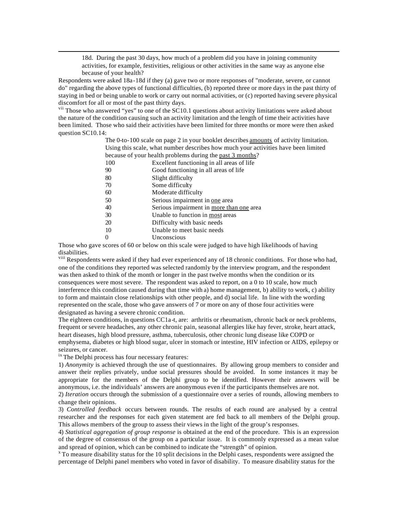18d. During the past 30 days, how much of a problem did you have in joining community activities, for example, festivities, religious or other activities in the same way as anyone else because of your health?

Respondents were asked 18a-18d if they (a) gave two or more responses of "moderate, severe, or cannot do" regarding the above types of functional difficulties, (b) reported three or more days in the past thirty of staying in bed or being unable to work or carry out normal activities, or (c) reported having severe physical discomfort for all or most of the past thirty days.

<sup>vii</sup> Those who answered "yes" to one of the SC10.1 questions about activity limitations were asked about the nature of the condition causing such an activity limitation and the length of time their activities have been limited. Those who said their activities have been limited for three months or more were then asked question SC10.14:

> The 0-to-100 scale on page 2 in your booklet describes amounts of activity limitation. Using this scale, what number describes how much your activities have been limited because of your health problems during the past 3 months?

- 100 Excellent functioning in all areas of life
- 90 Good functioning in all areas of life
- 80 Slight difficulty
- 70 Some difficulty

l

- 60 Moderate difficulty
- 50 Serious impairment in one area
- 40 Serious impairment in more than one area
- 30 Unable to function in most areas
- 20 Difficulty with basic needs
- 10 Unable to meet basic needs
- 0 Unconscious

Those who gave scores of 60 or below on this scale were judged to have high likelihoods of having disabilities.

<sup>viii</sup> Respondents were asked if they had ever experienced any of 18 chronic conditions. For those who had, one of the conditions they reported was selected randomly by the interview program, and the respondent was then asked to think of the month or longer in the past twelve months when the condition or its consequences were most severe. The respondent was asked to report, on a 0 to 10 scale, how much interference this condition caused during that time with a) home management, b) ability to work, c) ability to form and maintain close relationships with other people, and d) social life. In line with the wording represented on the scale, those who gave answers of 7 or more on any of those four activities were designated as having a severe chronic condition.

The eighteen conditions, in questions CC1a-t, are: arthritis or rheumatism, chronic back or neck problems, frequent or severe headaches, any other chronic pain, seasonal allergies like hay fever, stroke, heart attack, heart diseases, high blood pressure, asthma, tuberculosis, other chronic lung disease like COPD or emphysema, diabetes or high blood sugar, ulcer in stomach or intestine, HIV infection or AIDS, epilepsy or seizures, or cancer.

<sup>ix</sup> The Delphi process has four necessary features:

1) *Anonymity* is achieved through the use of questionnaires. By allowing group members to consider and answer their replies privately, undue social pressures should be avoided. In some instances it may be appropriate for the members of the Delphi group to be identified. However their answers will be anonymous, i.e. the individuals' answers are anonymous even if the participants themselves are not.

2) *Iteration* occurs through the submission of a questionnaire over a series of rounds, allowing members to change their opinions.

3) *Controlled feedback* occurs between rounds. The results of each round are analysed by a central researcher and the responses for each given statement are fed back to all members of the Delphi group. This allows members of the group to assess their views in the light of the group's responses.

4) *Statistical aggregation of group response* is obtained at the end of the procedure. This is an expression of the degree of consensus of the group on a particular issue. It is commonly expressed as a mean value and spread of opinion, which can be combined to indicate the "strength" of opinion.

<sup>x</sup> To measure disability status for the 10 split decisions in the Delphi cases, respondents were assigned the percentage of Delphi panel members who voted in favor of disability. To measure disability status for the